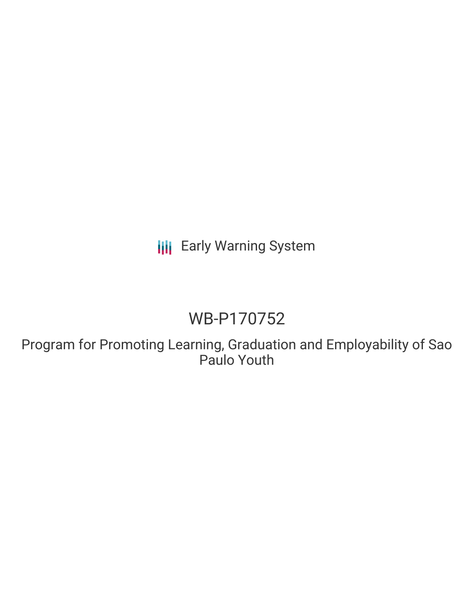**III** Early Warning System

# WB-P170752

Program for Promoting Learning, Graduation and Employability of Sao Paulo Youth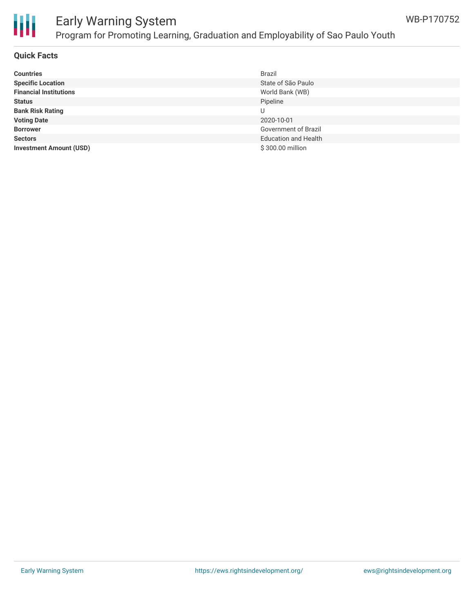

# Early Warning System Program for Promoting Learning, Graduation and Employability of Sao Paulo Youth

## **Quick Facts**

| <b>Countries</b>               | Brazil                      |
|--------------------------------|-----------------------------|
| <b>Specific Location</b>       | State of São Paulo          |
| <b>Financial Institutions</b>  | World Bank (WB)             |
| <b>Status</b>                  | Pipeline                    |
| <b>Bank Risk Rating</b>        | U                           |
| <b>Voting Date</b>             | 2020-10-01                  |
| <b>Borrower</b>                | Government of Brazil        |
| <b>Sectors</b>                 | <b>Education and Health</b> |
| <b>Investment Amount (USD)</b> | \$300.00 million            |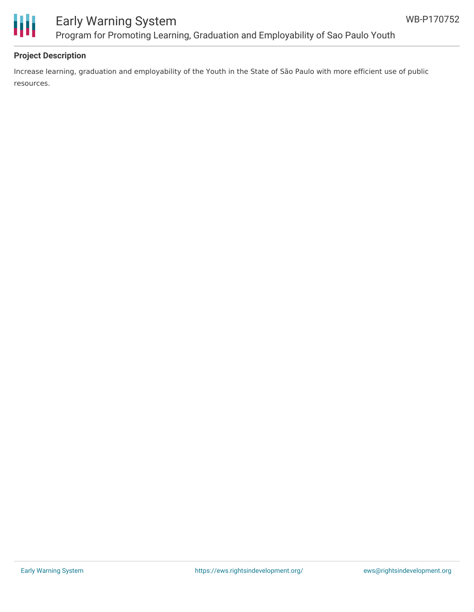

# Early Warning System Program for Promoting Learning, Graduation and Employability of Sao Paulo Youth

## **Project Description**

Increase learning, graduation and employability of the Youth in the State of São Paulo with more efficient use of public resources.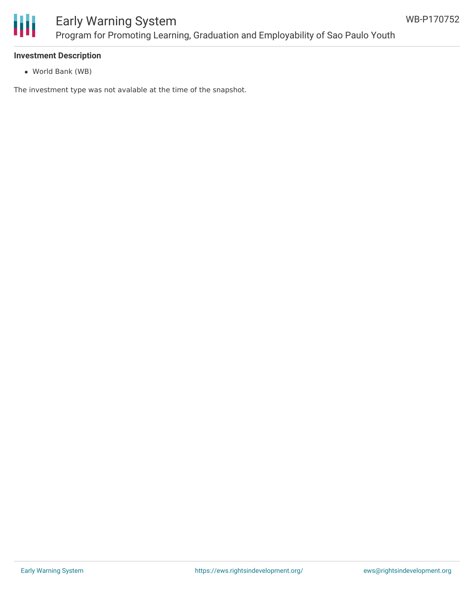

#### **Investment Description**

World Bank (WB)

The investment type was not avalable at the time of the snapshot.